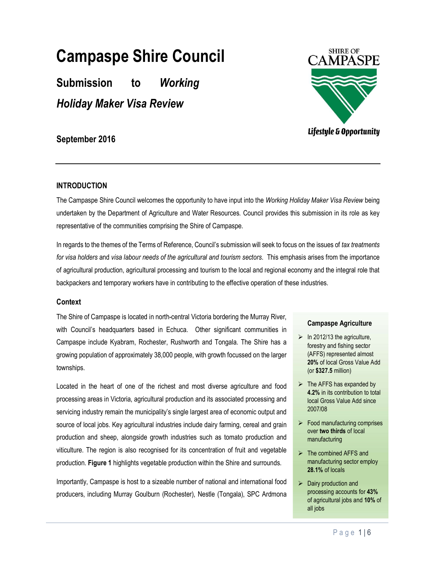# Campaspe Shire Council

Submission to Working Holiday Maker Visa Review



## September 2016

## INTRODUCTION

The Campaspe Shire Council welcomes the opportunity to have input into the Working Holiday Maker Visa Review being undertaken by the Department of Agriculture and Water Resources. Council provides this submission in its role as key representative of the communities comprising the Shire of Campaspe.

In regards to the themes of the Terms of Reference, Council's submission will seek to focus on the issues of tax treatments for visa holders and visa labour needs of the agricultural and tourism sectors. This emphasis arises from the importance of agricultural production, agricultural processing and tourism to the local and regional economy and the integral role that backpackers and temporary workers have in contributing to the effective operation of these industries.

## **Context**

The Shire of Campaspe is located in north-central Victoria bordering the Murray River, with Council's headquarters based in Echuca. Other significant communities in Campaspe include Kyabram, Rochester, Rushworth and Tongala. The Shire has a growing population of approximately 38,000 people, with growth focussed on the larger townships.

Located in the heart of one of the richest and most diverse agriculture and food processing areas in Victoria, agricultural production and its associated processing and servicing industry remain the municipality's single largest area of economic output and source of local jobs. Key agricultural industries include dairy farming, cereal and grain production and sheep, alongside growth industries such as tomato production and viticulture. The region is also recognised for its concentration of fruit and vegetable production. Figure 1 highlights vegetable production within the Shire and surrounds.

Importantly, Campaspe is host to a sizeable number of national and international food producers, including Murray Goulburn (Rochester), Nestle (Tongala), SPC Ardmona

## Campaspe Agriculture

- $\triangleright$  In 2012/13 the agriculture, forestry and fishing sector (AFFS) represented almost 20% of local Gross Value Add (or \$327.5 million)
- $\triangleright$  The AFFS has expanded by 4.2% in its contribution to total local Gross Value Add since 2007/08
- $\triangleright$  Food manufacturing comprises over two thirds of local manufacturing
- $\triangleright$  The combined AFFS and manufacturing sector employ 28.1% of locals
- $\triangleright$  Dairy production and processing accounts for 43% of agricultural jobs and 10% of all jobs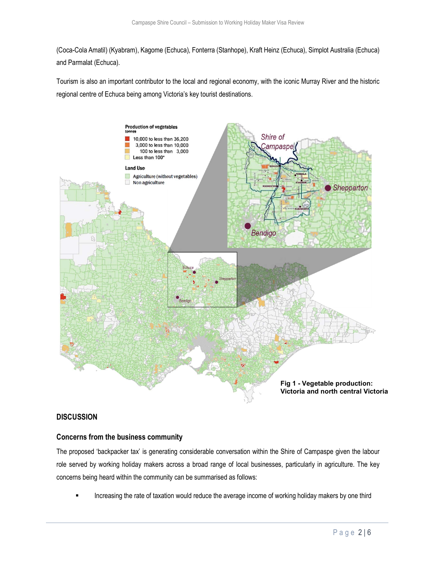(Coca-Cola Amatil) (Kyabram), Kagome (Echuca), Fonterra (Stanhope), Kraft Heinz (Echuca), Simplot Australia (Echuca) and Parmalat (Echuca).

Tourism is also an important contributor to the local and regional economy, with the iconic Murray River and the historic regional centre of Echuca being among Victoria's key tourist destinations.



## **DISCUSSION**

#### Concerns from the business community

The proposed 'backpacker tax' is generating considerable conversation within the Shire of Campaspe given the labour role served by working holiday makers across a broad range of local businesses, particularly in agriculture. The key concerns being heard within the community can be summarised as follows:

Increasing the rate of taxation would reduce the average income of working holiday makers by one third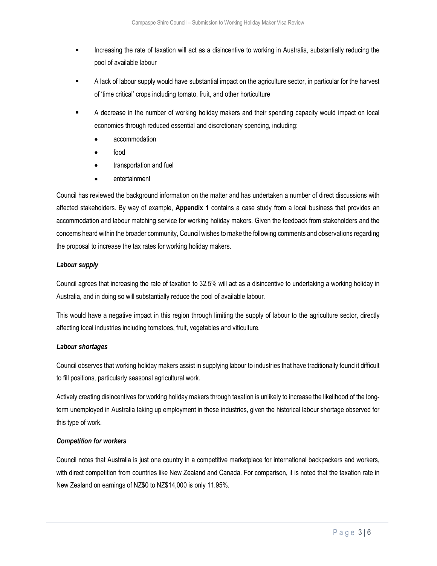- Increasing the rate of taxation will act as a disincentive to working in Australia, substantially reducing the pool of available labour
- A lack of labour supply would have substantial impact on the agriculture sector, in particular for the harvest of 'time critical' crops including tomato, fruit, and other horticulture
- A decrease in the number of working holiday makers and their spending capacity would impact on local economies through reduced essential and discretionary spending, including:
	- accommodation
	- food
	- transportation and fuel
	- entertainment

Council has reviewed the background information on the matter and has undertaken a number of direct discussions with affected stakeholders. By way of example, Appendix 1 contains a case study from a local business that provides an accommodation and labour matching service for working holiday makers. Given the feedback from stakeholders and the concerns heard within the broader community, Council wishes to make the following comments and observations regarding the proposal to increase the tax rates for working holiday makers.

#### Labour supply

Council agrees that increasing the rate of taxation to 32.5% will act as a disincentive to undertaking a working holiday in Australia, and in doing so will substantially reduce the pool of available labour.

This would have a negative impact in this region through limiting the supply of labour to the agriculture sector, directly affecting local industries including tomatoes, fruit, vegetables and viticulture.

#### Labour shortages

Council observes that working holiday makers assist in supplying labour to industries that have traditionally found it difficult to fill positions, particularly seasonal agricultural work.

Actively creating disincentives for working holiday makers through taxation is unlikely to increase the likelihood of the longterm unemployed in Australia taking up employment in these industries, given the historical labour shortage observed for this type of work.

#### Competition for workers

Council notes that Australia is just one country in a competitive marketplace for international backpackers and workers, with direct competition from countries like New Zealand and Canada. For comparison, it is noted that the taxation rate in New Zealand on earnings of NZ\$0 to NZ\$14,000 is only 11.95%.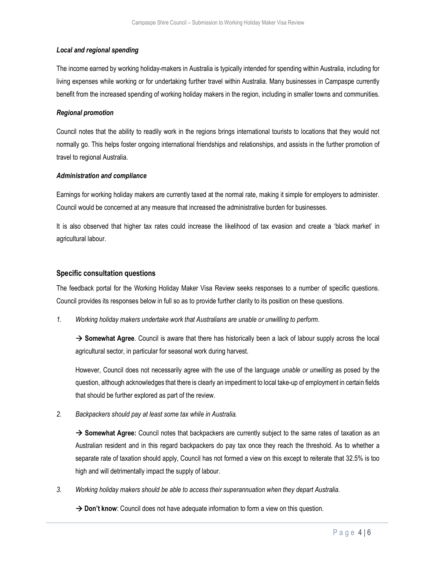#### Local and regional spending

The income earned by working holiday-makers in Australia is typically intended for spending within Australia, including for living expenses while working or for undertaking further travel within Australia. Many businesses in Campaspe currently benefit from the increased spending of working holiday makers in the region, including in smaller towns and communities.

#### Regional promotion

Council notes that the ability to readily work in the regions brings international tourists to locations that they would not normally go. This helps foster ongoing international friendships and relationships, and assists in the further promotion of travel to regional Australia.

#### Administration and compliance

Earnings for working holiday makers are currently taxed at the normal rate, making it simple for employers to administer. Council would be concerned at any measure that increased the administrative burden for businesses.

It is also observed that higher tax rates could increase the likelihood of tax evasion and create a 'black market' in agricultural labour.

#### Specific consultation questions

The feedback portal for the Working Holiday Maker Visa Review seeks responses to a number of specific questions. Council provides its responses below in full so as to provide further clarity to its position on these questions.

1. Working holiday makers undertake work that Australians are unable or unwilling to perform.

 $\rightarrow$  Somewhat Agree. Council is aware that there has historically been a lack of labour supply across the local agricultural sector, in particular for seasonal work during harvest.

However, Council does not necessarily agree with the use of the language unable or unwilling as posed by the question, although acknowledges that there is clearly an impediment to local take-up of employment in certain fields that should be further explored as part of the review.

2. Backpackers should pay at least some tax while in Australia.

 $\rightarrow$  Somewhat Agree: Council notes that backpackers are currently subject to the same rates of taxation as an Australian resident and in this regard backpackers do pay tax once they reach the threshold. As to whether a separate rate of taxation should apply, Council has not formed a view on this except to reiterate that 32.5% is too high and will detrimentally impact the supply of labour.

3. Working holiday makers should be able to access their superannuation when they depart Australia.

 $\rightarrow$  Don't know: Council does not have adequate information to form a view on this question.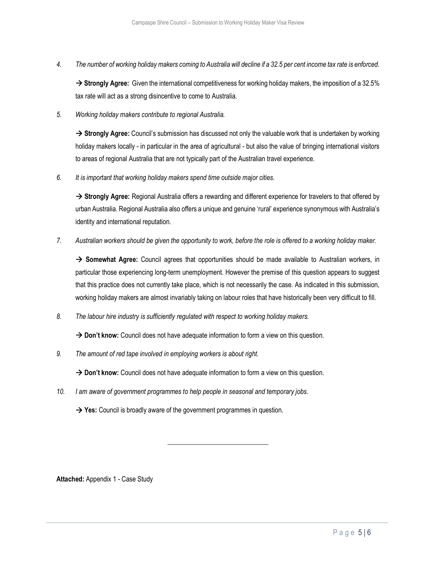4. The number of working holiday makers coming to Australia will decline if a 32.5 per cent income tax rate is enforced.

 $\rightarrow$  Strongly Agree: Given the international competitiveness for working holiday makers, the imposition of a 32.5% tax rate will act as a strong disincentive to come to Australia.

5. Working holiday makers contribute to regional Australia.

 $\rightarrow$  Strongly Agree: Council's submission has discussed not only the valuable work that is undertaken by working holiday makers locally - in particular in the area of agricultural - but also the value of bringing international visitors to areas of regional Australia that are not typically part of the Australian travel experience.

6. It is important that working holiday makers spend time outside major cities.

→ Strongly Agree: Regional Australia offers a rewarding and different experience for travelers to that offered by urban Australia. Regional Australia also offers a unique and genuine 'rural' experience synonymous with Australia's identity and international reputation.

7. Australian workers should be given the opportunity to work, before the role is offered to a working holiday maker.

 $\rightarrow$  Somewhat Agree: Council agrees that opportunities should be made available to Australian workers, in particular those experiencing long-term unemployment. However the premise of this question appears to suggest that this practice does not currently take place, which is not necessarily the case. As indicated in this submission, working holiday makers are almost invariably taking on labour roles that have historically been very difficult to fill.

8. The labour hire industry is sufficiently regulated with respect to working holiday makers.

 $\rightarrow$  Don't know: Council does not have adequate information to form a view on this question.

9. The amount of red tape involved in employing workers is about right.

 $\rightarrow$  Don't know: Council does not have adequate information to form a view on this question.

\_\_\_\_\_\_\_\_\_\_\_\_\_\_\_\_\_\_\_\_\_\_\_\_\_\_\_\_\_\_

10. I am aware of government programmes to help people in seasonal and temporary jobs.

 $\rightarrow$  Yes: Council is broadly aware of the government programmes in question.

Attached: Appendix 1 - Case Study